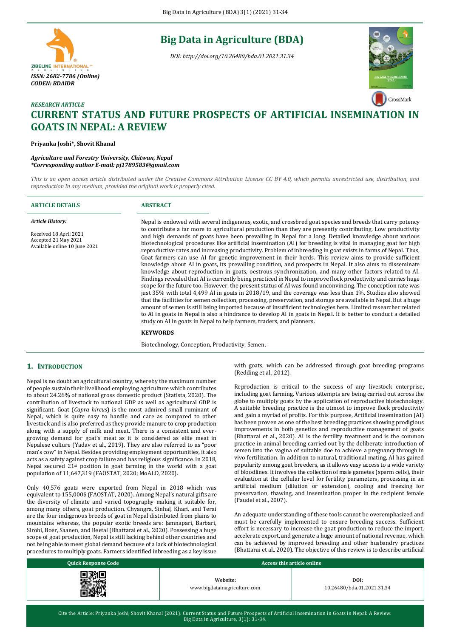# **Big Data in Agriculture (BDA)**

*DOI: http://doi.org/10.26480/bda.01.2021.31.34*



# *RESEARCH ARTICLE* **CURRENT STATUS AND FUTURE PROSPECTS OF ARTIFICIAL INSEMINATION IN GOATS IN NEPAL: A REVIEW**

**Priyanka Joshi\*, Shovit Khanal**

*ISSN: 2682-7786 (Online) CODEN: BDAIDR*

ZIBELINE INTERNATIONAL<sup>T</sup>

*Agriculture and Forestry University, Chitwan, Nepal \*Corresponding author E-mail: pj1789583@gmail.com*

*This is an open access article distributed under the Creative Commons Attribution License CC BY 4.0, which permits unrestricted use, distribution, and reproduction in any medium, provided the original work is properly cited.*

| <b>ARTICLE DETAILS</b>                                                                                     | <b>ABSTRACT</b>                                                                                                                                                                                                                                                                                                                                                                                                                                                                                                                                                                                                                                                                                                                                                                                                                                                                                                                                                                                                                                                                                                                                                                                                                                                                                                                                                                                                                                                                                                                                                                                                                                                                      |
|------------------------------------------------------------------------------------------------------------|--------------------------------------------------------------------------------------------------------------------------------------------------------------------------------------------------------------------------------------------------------------------------------------------------------------------------------------------------------------------------------------------------------------------------------------------------------------------------------------------------------------------------------------------------------------------------------------------------------------------------------------------------------------------------------------------------------------------------------------------------------------------------------------------------------------------------------------------------------------------------------------------------------------------------------------------------------------------------------------------------------------------------------------------------------------------------------------------------------------------------------------------------------------------------------------------------------------------------------------------------------------------------------------------------------------------------------------------------------------------------------------------------------------------------------------------------------------------------------------------------------------------------------------------------------------------------------------------------------------------------------------------------------------------------------------|
| <b>Article History:</b><br>Received 18 April 2021<br>Accepted 21 May 2021<br>Available online 10 June 2021 | Nepal is endowed with several indigenous, exotic, and crossbred goat species and breeds that carry potency<br>to contribute a far more to agricultural production than they are presently contributing. Low productivity<br>and high demands of goats have been prevailing in Nepal for a long. Detailed knowledge about various<br>biotechnological procedures like artificial insemination (AI) for breeding is vital in managing goat for high<br>reproductive rates and increasing productivity. Problem of inbreeding in goat exists in farms of Nepal. Thus,<br>Goat farmers can use AI for genetic improvement in their herds. This review aims to provide sufficient<br>knowledge about AI in goats, its prevailing condition, and prospects in Nepal. It also aims to disseminate<br>knowledge about reproduction in goats, oestrous synchronization, and many other factors related to AI.<br>Findings revealed that AI is currently being practiced in Nepal to improve flock productivity and carries huge<br>scope for the future too. However, the present status of AI was found unconvincing. The conception rate was<br>just 35% with total 4,499 AI in goats in 2018/19, and the coverage was less than 1%. Studies also showed<br>that the facilities for semen collection, processing, preservation, and storage are available in Nepal. But a huge<br>amount of semen is still being imported because of insufficient technologies here. Limited researcher related<br>to AI in goats in Nepal is also a hindrance to develop AI in goats in Nepal. It is better to conduct a detailed<br>study on AI in goats in Nepal to help farmers, traders, and planners. |
|                                                                                                            | <b>KEYWORDS</b>                                                                                                                                                                                                                                                                                                                                                                                                                                                                                                                                                                                                                                                                                                                                                                                                                                                                                                                                                                                                                                                                                                                                                                                                                                                                                                                                                                                                                                                                                                                                                                                                                                                                      |

Biotechnology, Conception, Productivity, Semen.

# **1. INTRODUCTION**

Nepal is no doubt an agricultural country, whereby the maximum number of people sustain their livelihood employing agriculture which contributes to about 24.26% of national gross domestic product (Statista, 2020). The contribution of livestock to national GDP as well as agricultural GDP is significant. Goat (*Capra hircus*) is the most admired small ruminant of Nepal, which is quite easy to handle and care as compared to other livestock and is also preferred as they provide manure to crop production along with a supply of milk and meat. There is a consistent and evergrowing demand for goat's meat as it is considered as elite meat in Nepalese culture (Yadav et al., 2019). They are also referred to as "poor man's cow" in Nepal. Besides providing employment opportunities, it also acts as a safety against crop failure and has religious significance. In 2018, Nepal secured 21st position in goat farming in the world with a goat population of 11,647,319 (FAOSTAT, 2020; MoALD, 2020).

Only 40,576 goats were exported from Nepal in 2018 which was equivalent to 155,000\$ (FAOSTAT, 2020). Among Nepal's natural gifts are the diversity of climate and varied topography making it suitable for, among many others, goat production. Chyangra, Sinhal, Khari, and Terai are the four indigenous breeds of goat in Nepal distributed from plains to mountains whereas, the popular exotic breeds are: Jamnapari, Barbari, Sirohi, Boer, Saanen, and Beetal (Bhattarai et al., 2020). Possessing a huge scope of goat production, Nepal is still lacking behind other countries and not being able to meet global demand because of a lack of biotechnological procedures to multiply goats. Farmers identified inbreeding as a key issue with goats, which can be addressed through goat breeding programs (Redding et al., 2012).

Reproduction is critical to the success of any livestock enterprise, including goat farming. Various attempts are being carried out across the globe to multiply goats by the application of reproductive biotechnology. A suitable breeding practice is the utmost to improve flock productivity and gain a myriad of profits. For this purpose, Artificial insemination (AI) has been proven as one of the best breeding practices showing prodigious improvements in both genetics and reproductive management of goats (Bhattarai et al., 2020). AI is the fertility treatment and is the common practice in animal breeding carried out by the deliberate introduction of semen into the vagina of suitable doe to achieve a [pregnancy](https://en.wikipedia.org/wiki/Pregnancy) through [in](https://en.wikipedia.org/wiki/In_vivo_fertilization)  [vivo fertilization.](https://en.wikipedia.org/wiki/In_vivo_fertilization) In addition to natural, traditional mating, AI has gained popularity among goat [breeders,](https://en.wikipedia.org/wiki/Breeder) as it allows easy access to a wide variety of [bloodlines.](https://en.wikipedia.org/wiki/Bloodline) It involves the collection of male gametes (sperm cells), their evaluation at the cellular level for fertility parameters, processing in an artificial medium (dilution or extension), cooling and freezing for preservation, thawing, and insemination proper in the recipient female (Paudel et al., 2007).

An adequate understanding of these tools cannot be overemphasized and must be carefully implemented to ensure breeding success. Sufficient effort is necessary to increase the goat production to reduce the import, accelerate export, and generate a huge amount of national revenue, which can be achieved by improved breeding and other husbandry practices (Bhattarai et al., 2020). The objective of this review is to describe artificial

| <b>Quick Response Code</b> | Access this article online               |                                    |  |
|----------------------------|------------------------------------------|------------------------------------|--|
|                            | Website:<br>www.bigdatainagriculture.com | DOI:<br>10.26480/bda.01.2021.31.34 |  |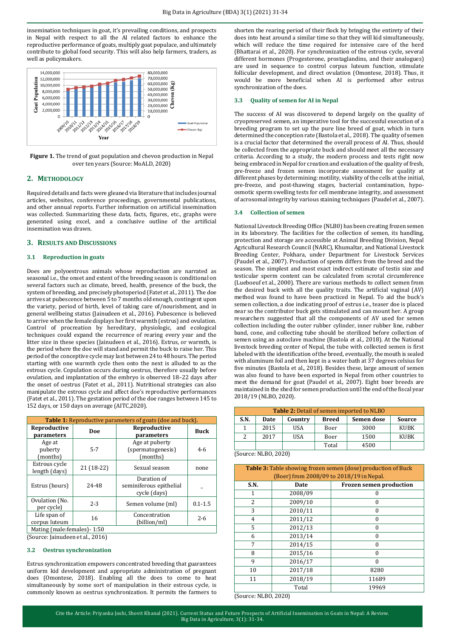insemination techniques in goat, it's prevailing conditions, and prospects in Nepal with respect to all the AI related factors to enhance the reproductive performance of goats, multiply goat populace, and ultimately contribute to global food security. This will also help farmers, traders, as well as policymakers.



**Figure 1.** The trend of goat population and chevon production in Nepal over ten years (Source: MoALD, 2020)

# **2. METHODOLOGY**

Required details and facts were gleaned via literature that includes journal articles, websites, conference proceedings, governmental publications, and other annual reports. Further information on artificial insemination was collected. Summarizing these data, facts, figures, etc., graphs were generated using excel, and a conclusive outline of the artificial insemination was drawn.

# **3. RESULTS AND DISCUSSIONS**

# **3.1 Reproduction in goats**

Does are polyoestrous animals whose reproduction are narrated as seasonal i.e., the onset and extent of the breeding season is conditional on several factors such as climate, breed, health, presence of the buck, the system of breeding, and precisely photoperiod (Fatet et al., 2011). The doe arrives at pubescence between 5 to 7 months old enough, contingent upon the variety, period of birth, level of taking care of/nourishment, and in general wellbeing status (Jainudeen et al., 2016). Pubescence is believed to arrive when the female displays her first warmth (estrus) and ovulation. Control of procreation by hereditary, physiologic, and ecological techniques could expand the recurrence of rearing every year and the litter size in these species (Jainudeen et al., 2016). Estrus, or warmth, is the period where the doe will stand and permit the buck to raise her. This period of the conceptive cycle may last between 24 to 48 hours. The period starting with one warmth cycle then onto the next is alluded to as the estrous cycle. Copulation occurs during oestrus, therefore usually before ovulation, and implantation of the embryo is observed 18–22 days after the onset of oestrus (Fatet et al., 2011). Nutritional strategies can also manipulate the estrous cycle and affect doe's reproductive performances (Fatet et al., 2011). The gestation period of the doe ranges between 145 to 152 days, or 150 days on average (AITC,2020).

| <b>Table 1:</b> Reproductive parameters of goats (doe and buck). |            |                                                        |             |  |
|------------------------------------------------------------------|------------|--------------------------------------------------------|-------------|--|
| Reproductive<br>parameters                                       | Doe        | Reproductive<br>parameters                             | <b>Buck</b> |  |
| Age at<br>puberty<br>(months)                                    | $5 - 7$    | Age at puberty<br>(spermatogenesis)<br>(months)        | $4 - 6$     |  |
| Estrous cycle<br>length (days)                                   | 21 (18-22) | Sexual season                                          | none        |  |
| Estrus (hours)                                                   | 24-48      | Duration of<br>seminiferous epithelial<br>cycle (days) |             |  |
| Ovulation (No.<br>$2 - 3$<br>per cycle)                          |            | Semen volume (ml)                                      | $0.1 - 1.5$ |  |
| Life span of<br>corpus luteum                                    | 16         | Concentration<br>(billion/ml)                          | $2 - 6$     |  |
| Mating (male: females) - 1:50                                    |            |                                                        |             |  |

(Source: Jainudeen et al., 2016)

#### **3.2 Oestrus synchronization**

Estrus synchronization empowers concentrated breeding that guarantees uniform kid development and appropriate administration of pregnant does (Omontese, 2018). Enabling all the does to come to heat simultaneously by some sort of manipulation in their estrous cycle, is commonly known as oestrus synchronization. It permits the farmers to shorten the rearing period of their flock by bringing the entirety of their does into heat around a similar time so that they will kid simultaneously, which will reduce the time required for intensive care of the herd (Bhattarai et al., 2020). For synchronization of the estrous cycle, several different hormones (Progesterone, prostaglandins, and their analogues) are used in sequence to control corpus luteum function, stimulate follicular development, and direct ovulation (Omontese, 2018). Thus, it would be more beneficial when AI is performed after estrus synchronization of the does.

#### **3.3 Quality of semen for AI in Nepal**

The success of AI was discovered to depend largely on the quality of cryopreserved semen, an imperative tool for the successful execution of a breeding program to set up the pure line breed of goat, which in turn determined the conception rate (Bastola et al., 2018). The quality of semen is a crucial factor that determined the overall process of AI. Thus, should be collected from the appropriate buck and should meet all the necessary criteria. According to a study, the modern process and tests right now being embraced in Nepal for creation and evaluation of the quality of fresh, pre-freeze and frozen semen incorporate assessment for quality at different phases by determining: motility, viability of the cells at the initial, pre-freeze, and post-thawing stages, bacterial contamination, hypoosmotic sperm swelling tests for cell membrane integrity, and assessment of acrosomal integrity by various staining techniques (Paudel et al., 2007).

# **3.4 Collection of semen**

National Livestock Breeding Office (NLB0) has been creating frozen semen in its laboratory. The facilities for the collection of semen, its handling, protection and storage are accessible at Animal Breeding Division, Nepal Agricultural Research Council (NARC), Khumaltar, and National Livestock Breeding Center, Pokhara, under Department for Livestock Services (Paudel et al., 2007). Production of sperm differs from the breed and the season. The simplest and most exact indirect estimate of testis size and testicular sperm content can be calculated from scrotal circumference (Lueboeuf et al., 2000). There are various methods to collect semen from the desired buck with all the quality traits. The artificial vaginal (AV) method was found to have been practiced in Nepal. To aid the buck's semen collection, a doe indicating proof of estrus i.e., teaser doe is placed near so the contributor buck gets stimulated and can mount her. A group researchers suggested that all the components of AV used for semen collection including the outer rubber cylinder, inner rubber line, rubber band, cone, and collecting tube should be sterilized before collection of semen using an autoclave machine (Bastola et al., 2018). At the National livestock breeding center of Nepal, the tube with collected semen is first labeled with the identification of the breed, eventually, the mouth is sealed with aluminum foil and then kept in a water bath at 37 degrees celsius for five minutes (Bastola et al., 2018). Besides these, large amount of semen was also found to have been exported in Nepal from other countries to meet the demand for goat (Paudel et al., 2007). Eight boer breeds are maintained in the shed for semen production until the end of the fiscal year 2018/19 (NLBO, 2020).

| <b>Table 2:</b> Detail of semen imported to NLBO |      |            |              |            |             |
|--------------------------------------------------|------|------------|--------------|------------|-------------|
| S.N.                                             | Date | Country    | <b>Breed</b> | Semen dose | Source      |
|                                                  | 2015 | <b>USA</b> | Boer         | 3000       | <b>KUBK</b> |
|                                                  | 2017 | <b>USA</b> | Boer         | 1500       | <b>KUBK</b> |
|                                                  |      |            | Total        | 4500       |             |
| $\alpha$ $\alpha$                                |      |            |              |            |             |

(Source: NLBO, 2020)

| <b>Table 3:</b> Table showing frozen semen (dose) production of Buck<br>(Boer) from 2008/09 to 2018/19 in Nepal. |                                        |          |  |
|------------------------------------------------------------------------------------------------------------------|----------------------------------------|----------|--|
| S.N.                                                                                                             | <b>Frozen semen production</b><br>Date |          |  |
| 1                                                                                                                | 2008/09                                | 0        |  |
| $\mathcal{L}$                                                                                                    | 2009/10                                | 0        |  |
| 3                                                                                                                | 2010/11                                | 0        |  |
| 4                                                                                                                | 2011/12                                | $\theta$ |  |
| 5                                                                                                                | 2012/13                                | $\theta$ |  |
| 6                                                                                                                | 2013/14                                | $\theta$ |  |
| 7                                                                                                                | 2014/15                                | $\theta$ |  |
| 8                                                                                                                | 2015/16                                | $\theta$ |  |
| 9                                                                                                                | 2016/17                                | $\Omega$ |  |
| 10                                                                                                               | 2017/18                                | 8280     |  |
| 11                                                                                                               | 2018/19                                | 11689    |  |
|                                                                                                                  | Total                                  | 19969    |  |

(Source: NLBO, 2020)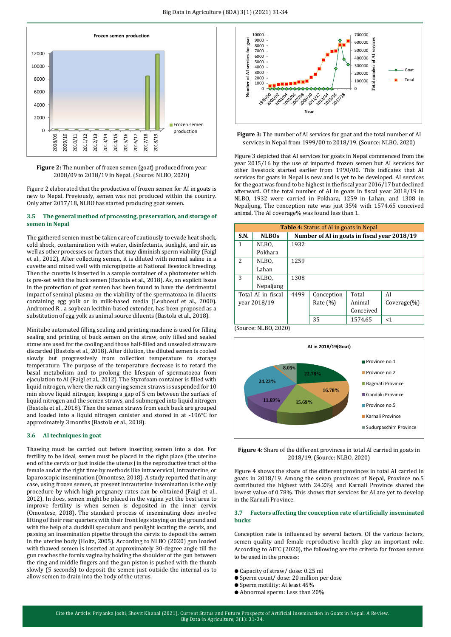

**Figure 2:** The number of frozen semen (goat) produced from year 2008/09 to 2018/19 in Nepal. (Source: NLBO, 2020)

Figure 2 elaborated that the production of frozen semen for AI in goats is new to Nepal. Previously, semen was not produced within the country. Only after 2017/18, NLBO has started producing goat semen.

# **3.5 The general method of processing, preservation, and storage of semen in Nepal**

The gathered semen must be taken care of cautiously to evade heat shock, cold shock, contamination with water, disinfectants, sunlight, and air, as well as other processes or factors that may diminish sperm viability (Faigl et al., 2012). After collecting semen, it is diluted with normal saline in a cuvette and mixed well with micropipette at National livestock breeding. Then the cuvette is inserted in a sample container of a photometer which is pre-set with the buck semen (Bastola et al., 2018). As, an explicit issue in the protection of goat semen has been found to have the detrimental impact of seminal plasma on the viability of the spermatozoa in diluents containing egg yolk or in milk-based media (Leuboeuf et al., 2000). Andromed R , a soybean lecithin-based extender, has been proposed as a substitution of egg yolk as animal source diluents (Bastola et al., 2018).

Minitube automated filling sealing and printing machine is used for filling sealing and printing of buck semen on the straw, only filled and sealed straw are used for the cooling and those half-filled and unsealed straw are discarded (Bastola et al., 2018). After dilution, the diluted semen is cooled slowly but progressively from collection temperature to storage temperature. The purpose of the temperature decrease is to retard the basal metabolism and to prolong the lifespan of spermatozoa from ejaculation to AI (Faigl et al., 2012). The Styrofoam container is filled with liquid nitrogen, where the rack carrying semen straws is suspended for 10 min above liquid nitrogen, keeping a gap of 5 cm between the surface of liquid nitrogen and the semen straws, and submerged into liquid nitrogen (Bastola et al., 2018). Then the semen straws from each buck are grouped and loaded into a liquid nitrogen canister and stored in at -196°C for approximately 3 months (Bastola et al., 2018).

# **3.6 AI techniques in goat**

Thawing must be carried out before inserting semen into a doe. For fertility to be ideal, semen must be placed in the right place (the uterine end of the cervix or just inside the uterus) in the reproductive tract of the female and at the right time by methods like intracervical, intrauterine, or laparoscopic insemination (Omontese, 2018). A study reported that in any case, using frozen semen, at present intrauterine insemination is the only procedure by which high pregnancy rates can be obtained (Faigl et al., 2012). In does, semen might be placed in the vagina yet the best area to improve fertility is when semen is deposited in the inner cervix (Omontese, 2018). The standard process of inseminating does involve lifting of their rear quarters with their front legs staying on the ground and with the help of a duckbill speculum and penlight locating the cervix, and passing an insemination pipette through the cervix to deposit the semen in the uterine body (Holtz, 2005). According to NLBO (2020) gun loaded with thawed semen is inserted at approximately 30-degree angle till the gun reaches the fornix vagina by holding the shoulder of the gun between the ring and middle fingers and the gun piston is pushed with the thumb slowly (5 seconds) to deposit the semen just outside the internal os to allow semen to drain into the body of the uterus.





Figure 3 depicted that AI services for goats in Nepal commenced from the year 2015/16 by the use of imported frozen semen but AI services for other livestock started earlier from 1990/00. This indicates that AI services for goats in Nepal is new and is yet to be developed. AI services for the goat was found to be highest in the fiscal year 2016/17 but declined afterward. Of the total number of AI in goats in fiscal year 2018/19 in NLBO, 1932 were carried in Pokhara, 1259 in Lahan, and 1308 in Nepaljung. The conception rate was just 35% with 1574.65 conceived animal. The AI coverage% was found less than 1.

| <b>Table 4:</b> Status of AI in goats in Nepal |                    |                                              |              |           |                |
|------------------------------------------------|--------------------|----------------------------------------------|--------------|-----------|----------------|
| <b>S.N.</b>                                    | <b>NLBOs</b>       | Number of AI in goats in fiscal year 2018/19 |              |           |                |
| 1                                              | NLBO.              | 1932                                         |              |           |                |
|                                                | Pokhara            |                                              |              |           |                |
| 2                                              | NLBO,              | 1259                                         |              |           |                |
|                                                | Lahan              |                                              |              |           |                |
| 3                                              | NLBO,              | 1308                                         |              |           |                |
|                                                | Nepaljung          |                                              |              |           |                |
|                                                | Total AI in fiscal | 4499                                         | Conception   | Total     | AI             |
| vear 2018/19                                   |                    |                                              | Rate $(\% )$ | Animal    | $Coverage(\%)$ |
|                                                |                    |                                              |              | Conceived |                |
|                                                |                    |                                              | 35           | 1574.65   | <1             |
| (Source: NLBO, 2020)                           |                    |                                              |              |           |                |



**Figure 4:** Share of the different provinces in total AI carried in goats in 2018/19. (Source: NLBO, 2020)

Figure 4 shows the share of the different provinces in total AI carried in goats in 2018/19. Among the seven provinces of Nepal, Province no.5 contributed the highest with 24.23% and Karnali Province shared the lowest value of 0.78%. This shows that services for AI are yet to develop in the Karnali Province.

### **3.7 Factors affecting the conception rate of artificially inseminated bucks**

Conception rate is influenced by several factors. Of the various factors, semen quality and female reproductive health play an important role. According to AITC (2020), the following are the criteria for frozen semen to be used in the process:

- Capacity of straw/ dose: 0.25 ml
- Sperm count/ dose: 20 million per dose
- Sperm motility: At least 45%
- Abnormal sperm: Less than 20%